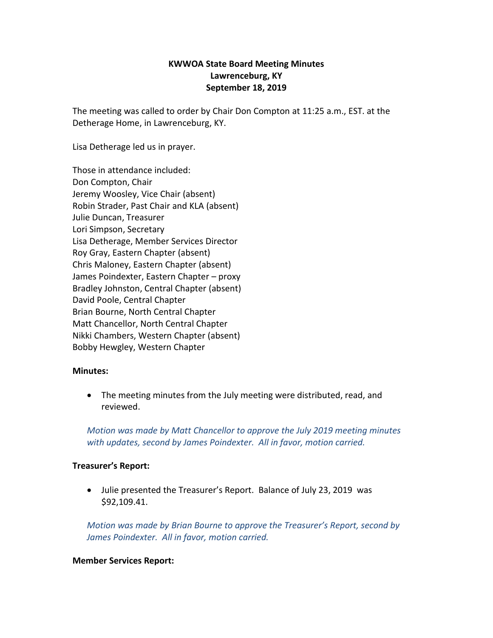# **KWWOA State Board Meeting Minutes Lawrenceburg, KY September 18, 2019**

The meeting was called to order by Chair Don Compton at 11:25 a.m., EST. at the Detherage Home, in Lawrenceburg, KY.

Lisa Detherage led us in prayer.

Those in attendance included: Don Compton, Chair Jeremy Woosley, Vice Chair (absent) Robin Strader, Past Chair and KLA (absent) Julie Duncan, Treasurer Lori Simpson, Secretary Lisa Detherage, Member Services Director Roy Gray, Eastern Chapter (absent) Chris Maloney, Eastern Chapter (absent) James Poindexter, Eastern Chapter – proxy Bradley Johnston, Central Chapter (absent) David Poole, Central Chapter Brian Bourne, North Central Chapter Matt Chancellor, North Central Chapter Nikki Chambers, Western Chapter (absent) Bobby Hewgley, Western Chapter

#### **Minutes:**

 The meeting minutes from the July meeting were distributed, read, and reviewed.

*Motion was made by Matt Chancellor to approve the July 2019 meeting minutes with updates, second by James Poindexter. All in favor, motion carried.* 

#### **Treasurer's Report:**

 Julie presented the Treasurer's Report. Balance of July 23, 2019 was \$92,109.41.

*Motion was made by Brian Bourne to approve the Treasurer's Report, second by James Poindexter. All in favor, motion carried.*

#### **Member Services Report:**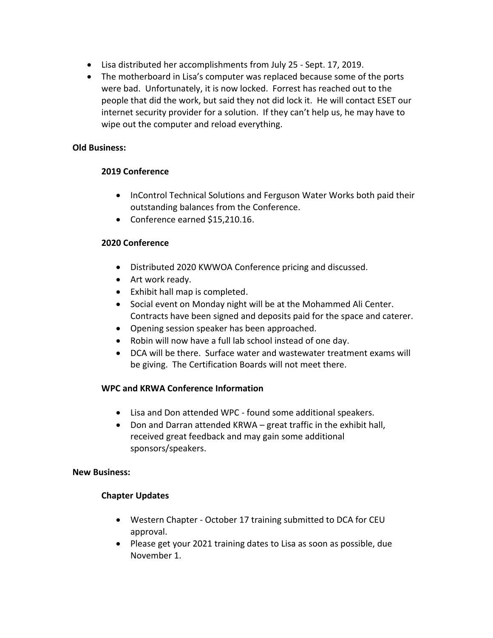- Lisa distributed her accomplishments from July 25 Sept. 17, 2019.
- The motherboard in Lisa's computer was replaced because some of the ports were bad. Unfortunately, it is now locked. Forrest has reached out to the people that did the work, but said they not did lock it. He will contact ESET our internet security provider for a solution. If they can't help us, he may have to wipe out the computer and reload everything.

### **Old Business:**

### **2019 Conference**

- InControl Technical Solutions and Ferguson Water Works both paid their outstanding balances from the Conference.
- Conference earned \$15,210.16.

### **2020 Conference**

- Distributed 2020 KWWOA Conference pricing and discussed.
- Art work ready.
- Exhibit hall map is completed.
- Social event on Monday night will be at the Mohammed Ali Center. Contracts have been signed and deposits paid for the space and caterer.
- Opening session speaker has been approached.
- Robin will now have a full lab school instead of one day.
- DCA will be there. Surface water and wastewater treatment exams will be giving. The Certification Boards will not meet there.

# **WPC and KRWA Conference Information**

- Lisa and Don attended WPC found some additional speakers.
- Don and Darran attended KRWA great traffic in the exhibit hall, received great feedback and may gain some additional sponsors/speakers.

#### **New Business:**

# **Chapter Updates**

- Western Chapter October 17 training submitted to DCA for CEU approval.
- Please get your 2021 training dates to Lisa as soon as possible, due November 1.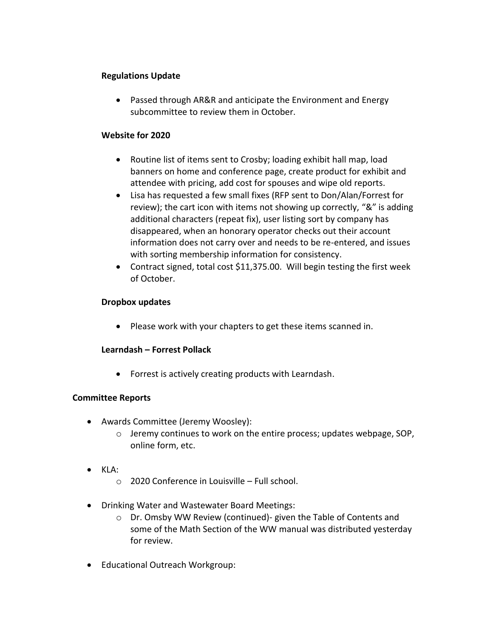### **Regulations Update**

• Passed through AR&R and anticipate the Environment and Energy subcommittee to review them in October.

### **Website for 2020**

- Routine list of items sent to Crosby; loading exhibit hall map, load banners on home and conference page, create product for exhibit and attendee with pricing, add cost for spouses and wipe old reports.
- Lisa has requested a few small fixes (RFP sent to Don/Alan/Forrest for review); the cart icon with items not showing up correctly, "&" is adding additional characters (repeat fix), user listing sort by company has disappeared, when an honorary operator checks out their account information does not carry over and needs to be re-entered, and issues with sorting membership information for consistency.
- Contract signed, total cost \$11,375.00. Will begin testing the first week of October.

# **Dropbox updates**

• Please work with your chapters to get these items scanned in.

# **Learndash – Forrest Pollack**

Forrest is actively creating products with Learndash.

# **Committee Reports**

- Awards Committee (Jeremy Woosley):
	- o Jeremy continues to work on the entire process; updates webpage, SOP, online form, etc.
- KLA:
	- o 2020 Conference in Louisville Full school.
- Drinking Water and Wastewater Board Meetings:
	- o Dr. Omsby WW Review (continued)- given the Table of Contents and some of the Math Section of the WW manual was distributed yesterday for review.
- Educational Outreach Workgroup: